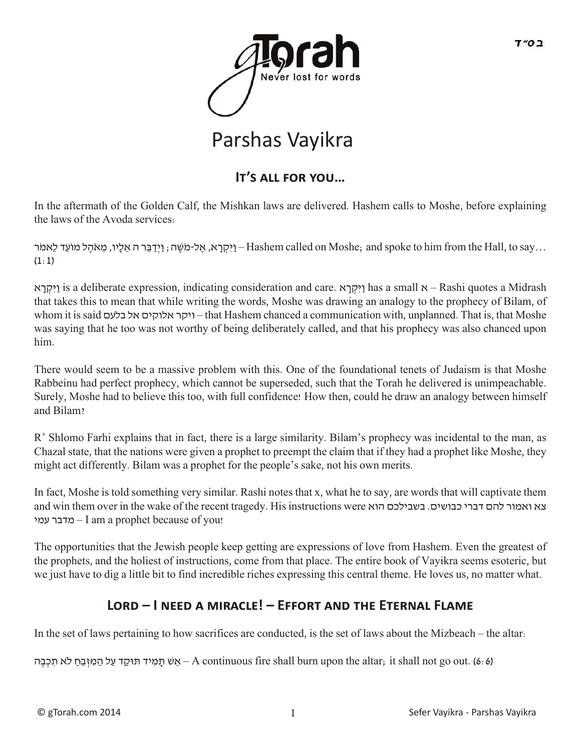# Parshas Vayikra

#### **IT'S ALL FOR YOU...**

In the aftermath of the Golden Calf, the Mishkan laws are delivered. Hashem calls to Moshe, before explaining the laws of the Avoda services:

יִיִּקְרָא, אֱל-מֹשֶׁה; וַיְדַבֵּר ה אֲלָיו, מֵאֹהֶל מוֹעֵד לֵאמֹר. .-Hashem called on Moshe; and spoke to him from the Hall, to say.  $(1:1)$ 

יִקְרָא is a deliberate expression, indicating consideration and care. א إم إيج has a small א – Rashi quotes a Midrash that takes this to mean that while writing the words, Moshe was drawing an analogy to the prophecy of Bilam, of whom it is said בלעם אל אלוקים ויקר – that Hashem chanced a communication with, unplanned. That is, that Moshe was saying that he too was not worthy of being deliberately called, and that his prophecy was also chanced upon him.

There would seem to be a massive problem with this. One of the foundational tenets of Judaism is that Moshe Rabbeinu had perfect prophecy, which cannot be superseded, such that the Torah he delivered is unimpeachable. Surely, Moshe had to believe this too, with full confidence! How then, could he draw an analogy between himself and Bilam?

R' Shlomo Farhi explains that in fact, there is a large similarity. Bilam's prophecy was incidental to the man, as Chazal state, that the nations were given a prophet to preempt the claim that if they had a prophet like Moshe, they might act differently. Bilam was a prophet for the people's sake, not his own merits.

In fact, Moshe is told something very similar. Rashi notes that x, what he to say, are words that will captivate them and win them over in the wake of the recent tragedy. His instructions were בא ואמור להם דברי כבושים. בשבילכם ה עדבר עמי – I am a prophet because of you!

The opportunities that the Jewish people keep getting are expressions of love from Hashem. Even the greatest of the prophets, and the holiest of instructions, come from that place. The entire book of Vayikra seems esoteric, but we just have to dig a little bit to find incredible riches expressing this central theme. He loves us, no matter what.

#### LORD – I NEED A MIRACLE! – EFFORT AND THE ETERNAL FLAME

In the set of laws pertaining to how sacrifices are conducted, is the set of laws about the Mizbeach – the altar:

אַ תַּמִיד ּתוּקַד עַל הַמִּזְבֵּח לֹא תִכְבָּה — A continuous fire shall burn upon the altar, it shall not go out. (6: 6)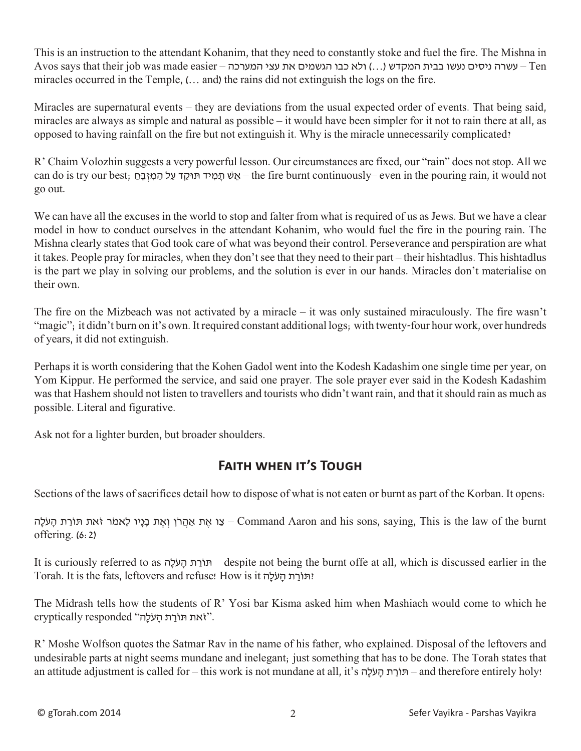This is an instruction to the attendant Kohanim, that they need to constantly stoke and fuel the fire. The Mishna in Avos says that their job was made easier – עשרה ניסים נעשו בבית המקדש (...) ולא כבו הגשמים את עצי המערכה miracles occurred in the Temple, (… and) the rains did not extinguish the logs on the fire.

Miracles are supernatural events – they are deviations from the usual expected order of events. That being said, miracles are always as simple and natural as possible – it would have been simpler for it not to rain there at all, as opposed to having rainfall on the fire but not extinguish it. Why is the miracle unnecessarily complicated?

R' Chaim Volozhin suggests a very powerful lesson. Our circumstances are fixed, our "rain" does not stop. All we can do is try our best; בְּהֵ עֲל הַמְזִבֶּח - the fire burnt continuously– even in the pouring rain, it would not go out.

We can have all the excuses in the world to stop and falter from what is required of us as Jews. But we have a clear model in how to conduct ourselves in the attendant Kohanim, who would fuel the fire in the pouring rain. The Mishna clearly states that God took care of what was beyond their control. Perseverance and perspiration are what it takes. People pray for miracles, when they don't see that they need to their part – their hishtadlus. This hishtadlus is the part we play in solving our problems, and the solution is ever in our hands. Miracles don't materialise on their own.

The fire on the Mizbeach was not activated by a miracle – it was only sustained miraculously. The fire wasn't "magic"; it didn't burn on it's own. It required constant additional logs; with twenty-four hour work, over hundreds of years, it did not extinguish.

Perhaps it is worth considering that the Kohen Gadol went into the Kodesh Kadashim one single time per year, on Yom Kippur. He performed the service, and said one prayer. The sole prayer ever said in the Kodesh Kadashim was that Hashem should not listen to travellers and tourists who didn't want rain, and that it should rain as much as possible. Literal and figurative.

Ask not for a lighter burden, but broader shoulders.

### **Faith when it's Tough**

Sections of the laws of sacrifices detail how to dispose of what is not eaten or burnt as part of the Korban. It opens:

עו אָהֲרֹן וְאֶת בָּנָיו לֵאמֹר זֹאת תּוֹרַת הַעֹלָה – Command Aaron and his sons, saying, This is the law of the burnt offering. (6:2)

It is curiously referred to as הָלֹע ָה ת ַרֹתוּ – despite not being the burnt offe at all, which is discussed earlier in the Torah. It is the fats, leftovers and refuse! How is it הָלֹע ָה ת ַרֹתוּ?

The Midrash tells how the students of R' Yosi bar Kisma asked him when Mashiach would come to which he וֹזֹאת תּוֹרַת הָעֹלָה" cryptically responded

R' Moshe Wolfson quotes the Satmar Rav in the name of his father, who explained. Disposal of the leftovers and undesirable parts at night seems mundane and inelegant; just something that has to be done. The Torah states that an attitude adjustment is called for – this work is not mundane at all, it's הָלֹע ָה ת ַרֹתוּ – and therefore entirely holy!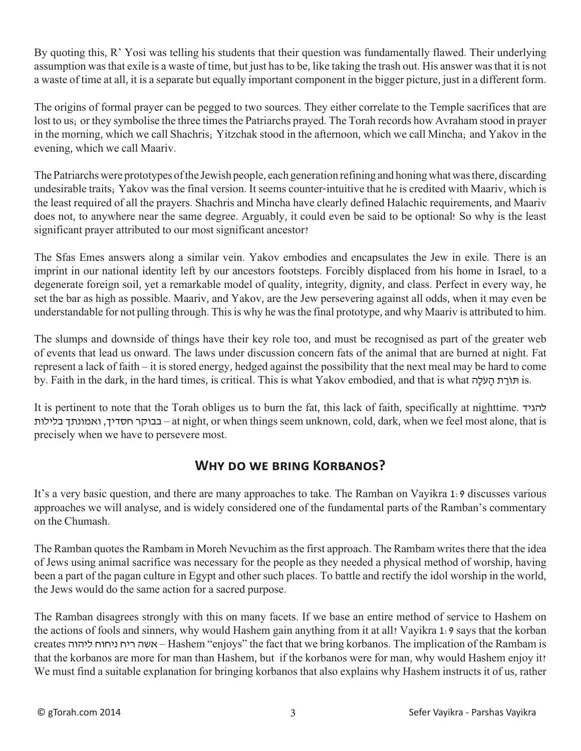By quoting this, R' Yosi was telling his students that their question was fundamentally flawed. Their underlying assumption was that exile is a waste of time, but just has to be, like taking the trash out. His answer was that it is not a waste of time at all, it is a separate but equally important component in the bigger picture, just in a different form.

The origins of formal prayer can be pegged to two sources. They either correlate to the Temple sacrifices that are lost to us; or they symbolise the three times the Patriarchs prayed. The Torah records how Avraham stood in prayer in the morning, which we call Shachris; Yitzchak stood in the afternoon, which we call Mincha; and Yakov in the evening, which we call Maariv.

The Patriarchs were prototypes of the Jewish people, each generation refining and honing what was there, discarding undesirable traits; Yakov was the final version. It seems counter-intuitive that he is credited with Maariv, which is the least required of all the prayers. Shachris and Mincha have clearly defined Halachic requirements, and Maariv does not, to anywhere near the same degree. Arguably, it could even be said to be optional! So why is the least significant prayer attributed to our most significant ancestor?

The Sfas Emes answers along a similar vein. Yakov embodies and encapsulates the Jew in exile. There is an imprint in our national identity left by our ancestors footsteps. Forcibly displaced from his home in Israel, to a degenerate foreign soil, yet a remarkable model of quality, integrity, dignity, and class. Perfect in every way, he set the bar as high as possible. Maariv, and Yakov, are the Jew persevering against all odds, when it may even be understandable for not pulling through. This is why he was the final prototype, and why Maariv is attributed to him.

The slumps and downside of things have their key role too, and must be recognised as part of the greater web of events that lead us onward. The laws under discussion concern fats of the animal that are burned at night. Fat represent a lack of faith – it is stored energy, hedged against the possibility that the next meal may be hard to come by. Faith in the dark, in the hard times, is critical. This is what Yakov embodied, and that is what הָלֹע ָה ת ַרֹתוּ is.

It is pertinent to note that the Torah obliges us to burn the fat, this lack of faith, specifically at nighttime. להגיד בלילות ואמונתך ,חסדיך בבוקר – at night, or when things seem unknown, cold, dark, when we feel most alone, that is precisely when we have to persevere most.

### **Why do we bring Korbanos?**

It's a very basic question, and there are many approaches to take. The Ramban on Vayikra 1:9 discusses various approaches we will analyse, and is widely considered one of the fundamental parts of the Ramban's commentary on the Chumash.

The Ramban quotes the Rambam in Moreh Nevuchim as the first approach. The Rambam writes there that the idea of Jews using animal sacrifice was necessary for the people as they needed a physical method of worship, having been a part of the pagan culture in Egypt and other such places. To battle and rectify the idol worship in the world, the Jews would do the same action for a sacred purpose.

The Ramban disagrees strongly with this on many facets. If we base an entire method of service to Hashem on the actions of fools and sinners, why would Hashem gain anything from it at all? Vayikra 1:9 says that the korban creates ליהוה ניחוח ריח אשה – Hashem "enjoys" the fact that we bring korbanos. The implication of the Rambam is that the korbanos are more for man than Hashem, but if the korbanos were for man, why would Hashem enjoy it? We must find a suitable explanation for bringing korbanos that also explains why Hashem instructs it of us, rather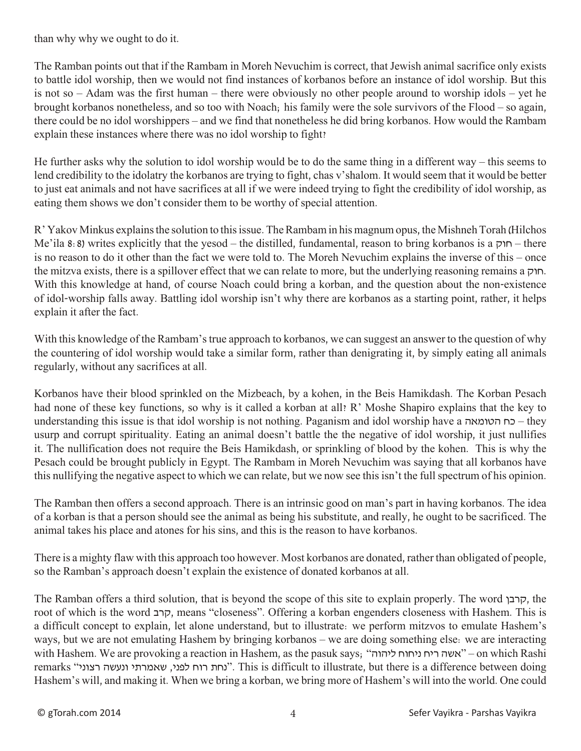than why why we ought to do it.

The Ramban points out that if the Rambam in Moreh Nevuchim is correct, that Jewish animal sacrifice only exists to battle idol worship, then we would not find instances of korbanos before an instance of idol worship. But this is not so – Adam was the first human – there were obviously no other people around to worship idols – yet he brought korbanos nonetheless, and so too with Noach; his family were the sole survivors of the Flood – so again, there could be no idol worshippers – and we find that nonetheless he did bring korbanos. How would the Rambam explain these instances where there was no idol worship to fight?

He further asks why the solution to idol worship would be to do the same thing in a different way – this seems to lend credibility to the idolatry the korbanos are trying to fight, chas v'shalom. It would seem that it would be better to just eat animals and not have sacrifices at all if we were indeed trying to fight the credibility of idol worship, as eating them shows we don't consider them to be worthy of special attention.

R' Yakov Minkus explains the solution to this issue. The Rambam in his magnum opus, the Mishneh Torah (Hilchos Me'ila 8:8) writes explicitly that the yesod – the distilled, fundamental, reason to bring korbanos is a חוק – there is no reason to do it other than the fact we were told to. The Moreh Nevuchim explains the inverse of this – once the mitzva exists, there is a spillover effect that we can relate to more, but the underlying reasoning remains a חוק. With this knowledge at hand, of course Noach could bring a korban, and the question about the non-existence of idol-worship falls away. Battling idol worship isn't why there are korbanos as a starting point, rather, it helps explain it after the fact.

With this knowledge of the Rambam's true approach to korbanos, we can suggest an answer to the question of why the countering of idol worship would take a similar form, rather than denigrating it, by simply eating all animals regularly, without any sacrifices at all.

Korbanos have their blood sprinkled on the Mizbeach, by a kohen, in the Beis Hamikdash. The Korban Pesach had none of these key functions, so why is it called a korban at all? R' Moshe Shapiro explains that the key to understanding this issue is that idol worship is not nothing. Paganism and idol worship have a הטומאה כח – they usurp and corrupt spirituality. Eating an animal doesn't battle the the negative of idol worship, it just nullifies it. The nullification does not require the Beis Hamikdash, or sprinkling of blood by the kohen. This is why the Pesach could be brought publicly in Egypt. The Rambam in Moreh Nevuchim was saying that all korbanos have this nullifying the negative aspect to which we can relate, but we now see this isn't the full spectrum of his opinion.

The Ramban then offers a second approach. There is an intrinsic good on man's part in having korbanos. The idea of a korban is that a person should see the animal as being his substitute, and really, he ought to be sacrificed. The animal takes his place and atones for his sins, and this is the reason to have korbanos.

There is a mighty flaw with this approach too however. Most korbanos are donated, rather than obligated of people, so the Ramban's approach doesn't explain the existence of donated korbanos at all.

The Ramban offers a third solution, that is beyond the scope of this site to explain properly. The word קרבן, the root of which is the word קרב, means "closeness". Offering a korban engenders closeness with Hashem. This is a difficult concept to explain, let alone understand, but to illustrate: we perform mitzvos to emulate Hashem's ways, but we are not emulating Hashem by bringing korbanos – we are doing something else: we are interacting with Hashem. We are provoking a reaction in Hashem, as the pasuk says; "ליהוה ניחוח ריח אשה – "on which Rashi remarks "ינחת רוח לפני, שאמרתי ונעשה רצוני". This is difficult to illustrate, but there is a difference between doing Hashem's will, and making it. When we bring a korban, we bring more of Hashem's will into the world. One could